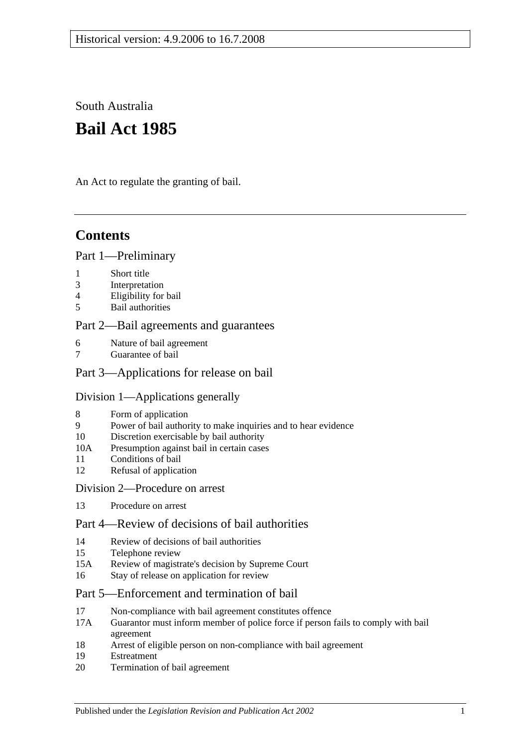South Australia

# **Bail Act 1985**

An Act to regulate the granting of bail.

## **Contents**

## [Part 1—Preliminary](#page-1-0)

- 1 [Short title](#page-1-1)
- 3 [Interpretation](#page-1-2)
- 4 [Eligibility for bail](#page-2-0)
- 5 [Bail authorities](#page-3-0)

## [Part 2—Bail agreements and guarantees](#page-3-1)

- 6 [Nature of bail agreement](#page-3-2)
- [Guarantee of bail](#page-5-0)

## [Part 3—Applications for release on bail](#page-5-1)

## [Division 1—Applications generally](#page-5-2)

- 8 [Form of application](#page-5-3)
- 9 [Power of bail authority to make inquiries and to hear evidence](#page-6-0)
- 10 [Discretion exercisable by bail authority](#page-6-1)
- 10A [Presumption against bail in certain cases](#page-7-0)
- 11 [Conditions of bail](#page-7-1)
- 12 [Refusal of application](#page-10-0)

#### [Division 2—Procedure on arrest](#page-10-1)

13 [Procedure on arrest](#page-10-2)

## [Part 4—Review of decisions of bail authorities](#page-11-0)

- 14 [Review of decisions of bail authorities](#page-11-1)
- 15 [Telephone review](#page-11-2)
- 15A Review [of magistrate's decision by Supreme Court](#page-12-0)
- 16 [Stay of release on application for review](#page-13-0)

## [Part 5—Enforcement and](#page-13-1) termination of bail

- 17 [Non-compliance with bail agreement constitutes offence](#page-13-2)
- 17A [Guarantor must inform member of police force if person fails to comply with bail](#page-14-0)  [agreement](#page-14-0)
- 18 [Arrest of eligible person on non-compliance with bail agreement](#page-14-1)
- 19 [Estreatment](#page-14-2)
- 20 [Termination of bail agreement](#page-15-0)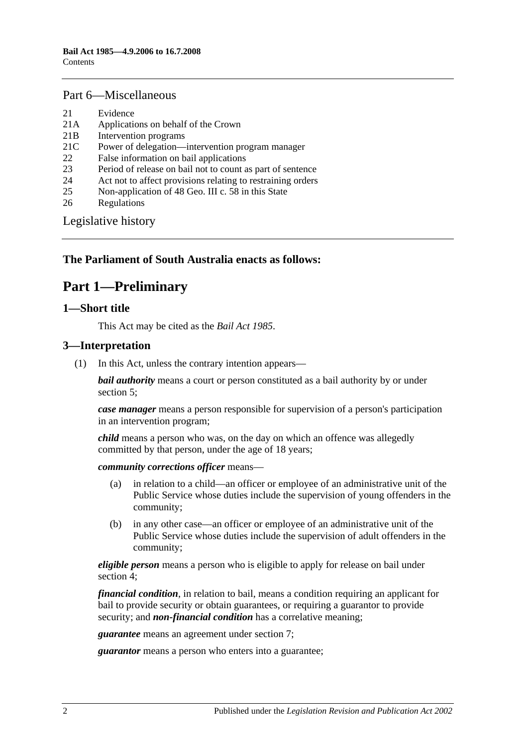### [Part 6—Miscellaneous](#page-15-1)

- 21 [Evidence](#page-15-2)
- 21A [Applications on behalf of the Crown](#page-15-3)
- 21B [Intervention programs](#page-15-4)
- 21C [Power of delegation—intervention program manager](#page-16-0)
- 22 [False information on bail applications](#page-17-0)
- 23 [Period of release on bail not to count as part of sentence](#page-17-1)
- 24 [Act not to affect provisions relating to restraining orders](#page-17-2)
- 25 [Non-application of 48 Geo. III c. 58 in this State](#page-17-3)
- 26 [Regulations](#page-17-4)

[Legislative history](#page-18-0)

## <span id="page-1-0"></span>**The Parliament of South Australia enacts as follows:**

## **Part 1—Preliminary**

#### <span id="page-1-1"></span>**1—Short title**

This Act may be cited as the *Bail Act 1985*.

#### <span id="page-1-2"></span>**3—Interpretation**

(1) In this Act, unless the contrary intention appears—

*bail authority* means a court or person constituted as a bail authority by or under [section](#page-3-0) 5;

*case manager* means a person responsible for supervision of a person's participation in an intervention program;

*child* means a person who was, on the day on which an offence was allegedly committed by that person, under the age of 18 years;

*community corrections officer* means—

- (a) in relation to a child—an officer or employee of an administrative unit of the Public Service whose duties include the supervision of young offenders in the community;
- (b) in any other case—an officer or employee of an administrative unit of the Public Service whose duties include the supervision of adult offenders in the community;

*eligible person* means a person who is eligible to apply for release on bail under [section](#page-2-0) 4;

*financial condition*, in relation to bail, means a condition requiring an applicant for bail to provide security or obtain guarantees, or requiring a guarantor to provide security; and *non-financial condition* has a correlative meaning;

*guarantee* means an agreement under [section](#page-5-0) 7;

*guarantor* means a person who enters into a guarantee;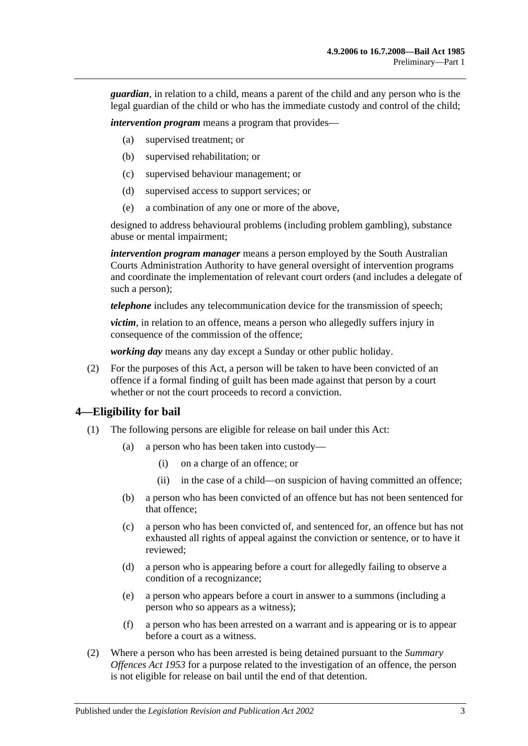*guardian*, in relation to a child, means a parent of the child and any person who is the legal guardian of the child or who has the immediate custody and control of the child;

*intervention program* means a program that provides—

- (a) supervised treatment; or
- (b) supervised rehabilitation; or
- (c) supervised behaviour management; or
- (d) supervised access to support services; or
- (e) a combination of any one or more of the above,

designed to address behavioural problems (including problem gambling), substance abuse or mental impairment;

*intervention program manager* means a person employed by the South Australian Courts Administration Authority to have general oversight of intervention programs and coordinate the implementation of relevant court orders (and includes a delegate of such a person);

*telephone* includes any telecommunication device for the transmission of speech;

*victim*, in relation to an offence, means a person who allegedly suffers injury in consequence of the commission of the offence;

*working day* means any day except a Sunday or other public holiday.

(2) For the purposes of this Act, a person will be taken to have been convicted of an offence if a formal finding of guilt has been made against that person by a court whether or not the court proceeds to record a conviction.

#### <span id="page-2-0"></span>**4—Eligibility for bail**

- (1) The following persons are eligible for release on bail under this Act:
	- (a) a person who has been taken into custody—
		- (i) on a charge of an offence; or
		- (ii) in the case of a child—on suspicion of having committed an offence;
	- (b) a person who has been convicted of an offence but has not been sentenced for that offence;
	- (c) a person who has been convicted of, and sentenced for, an offence but has not exhausted all rights of appeal against the conviction or sentence, or to have it reviewed;
	- (d) a person who is appearing before a court for allegedly failing to observe a condition of a recognizance;
	- (e) a person who appears before a court in answer to a summons (including a person who so appears as a witness);
	- (f) a person who has been arrested on a warrant and is appearing or is to appear before a court as a witness.
- (2) Where a person who has been arrested is being detained pursuant to the *[Summary](http://www.legislation.sa.gov.au/index.aspx?action=legref&type=act&legtitle=Summary%20Offences%20Act%201953)  [Offences Act](http://www.legislation.sa.gov.au/index.aspx?action=legref&type=act&legtitle=Summary%20Offences%20Act%201953) 1953* for a purpose related to the investigation of an offence, the person is not eligible for release on bail until the end of that detention.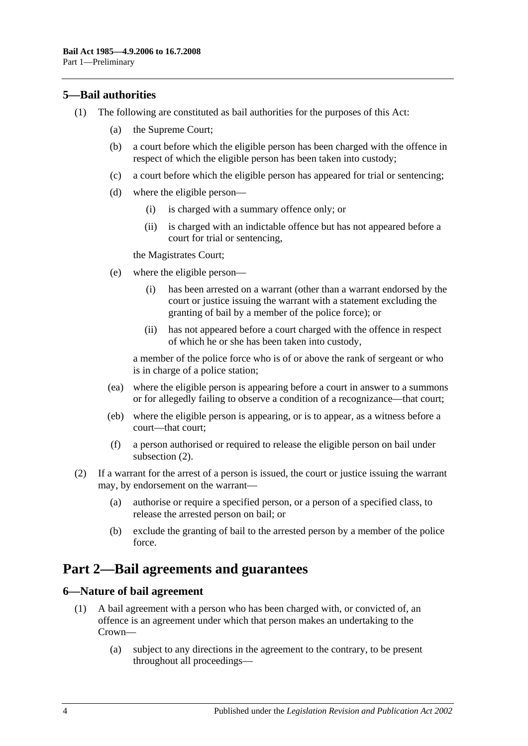## <span id="page-3-0"></span>**5—Bail authorities**

- (1) The following are constituted as bail authorities for the purposes of this Act:
	- (a) the Supreme Court;
	- (b) a court before which the eligible person has been charged with the offence in respect of which the eligible person has been taken into custody;
	- (c) a court before which the eligible person has appeared for trial or sentencing;
	- (d) where the eligible person—
		- (i) is charged with a summary offence only; or
		- (ii) is charged with an indictable offence but has not appeared before a court for trial or sentencing,

the Magistrates Court;

- (e) where the eligible person—
	- (i) has been arrested on a warrant (other than a warrant endorsed by the court or justice issuing the warrant with a statement excluding the granting of bail by a member of the police force); or
	- (ii) has not appeared before a court charged with the offence in respect of which he or she has been taken into custody,

a member of the police force who is of or above the rank of sergeant or who is in charge of a police station;

- (ea) where the eligible person is appearing before a court in answer to a summons or for allegedly failing to observe a condition of a recognizance—that court;
- (eb) where the eligible person is appearing, or is to appear, as a witness before a court—that court;
- (f) a person authorised or required to release the eligible person on bail under [subsection](#page-3-3) (2).
- <span id="page-3-3"></span>(2) If a warrant for the arrest of a person is issued, the court or justice issuing the warrant may, by endorsement on the warrant—
	- (a) authorise or require a specified person, or a person of a specified class, to release the arrested person on bail; or
	- (b) exclude the granting of bail to the arrested person by a member of the police force.

## <span id="page-3-1"></span>**Part 2—Bail agreements and guarantees**

### <span id="page-3-4"></span><span id="page-3-2"></span>**6—Nature of bail agreement**

- (1) A bail agreement with a person who has been charged with, or convicted of, an offence is an agreement under which that person makes an undertaking to the Crown—
	- (a) subject to any directions in the agreement to the contrary, to be present throughout all proceedings—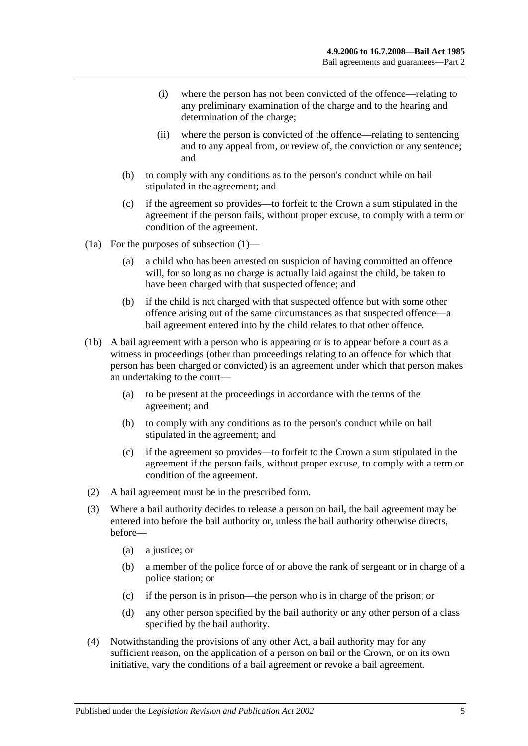- (i) where the person has not been convicted of the offence—relating to any preliminary examination of the charge and to the hearing and determination of the charge;
- (ii) where the person is convicted of the offence—relating to sentencing and to any appeal from, or review of, the conviction or any sentence; and
- (b) to comply with any conditions as to the person's conduct while on bail stipulated in the agreement; and
- (c) if the agreement so provides—to forfeit to the Crown a sum stipulated in the agreement if the person fails, without proper excuse, to comply with a term or condition of the agreement.
- (1a) For the purposes of [subsection](#page-3-4) (1)—
	- (a) a child who has been arrested on suspicion of having committed an offence will, for so long as no charge is actually laid against the child, be taken to have been charged with that suspected offence; and
	- (b) if the child is not charged with that suspected offence but with some other offence arising out of the same circumstances as that suspected offence—a bail agreement entered into by the child relates to that other offence.
- (1b) A bail agreement with a person who is appearing or is to appear before a court as a witness in proceedings (other than proceedings relating to an offence for which that person has been charged or convicted) is an agreement under which that person makes an undertaking to the court—
	- (a) to be present at the proceedings in accordance with the terms of the agreement; and
	- (b) to comply with any conditions as to the person's conduct while on bail stipulated in the agreement; and
	- (c) if the agreement so provides—to forfeit to the Crown a sum stipulated in the agreement if the person fails, without proper excuse, to comply with a term or condition of the agreement.
- (2) A bail agreement must be in the prescribed form.
- (3) Where a bail authority decides to release a person on bail, the bail agreement may be entered into before the bail authority or, unless the bail authority otherwise directs, before—
	- (a) a justice; or
	- (b) a member of the police force of or above the rank of sergeant or in charge of a police station; or
	- (c) if the person is in prison—the person who is in charge of the prison; or
	- (d) any other person specified by the bail authority or any other person of a class specified by the bail authority.
- (4) Notwithstanding the provisions of any other Act, a bail authority may for any sufficient reason, on the application of a person on bail or the Crown, or on its own initiative, vary the conditions of a bail agreement or revoke a bail agreement.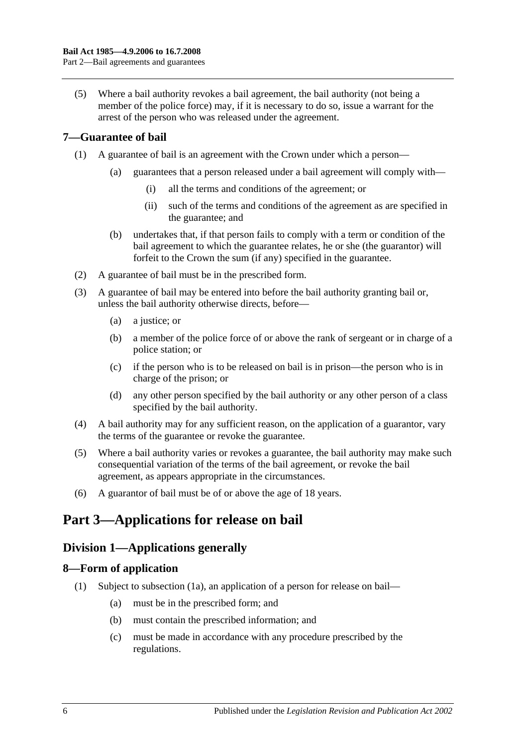(5) Where a bail authority revokes a bail agreement, the bail authority (not being a member of the police force) may, if it is necessary to do so, issue a warrant for the arrest of the person who was released under the agreement.

## <span id="page-5-0"></span>**7—Guarantee of bail**

- (1) A guarantee of bail is an agreement with the Crown under which a person—
	- (a) guarantees that a person released under a bail agreement will comply with—
		- (i) all the terms and conditions of the agreement; or
		- (ii) such of the terms and conditions of the agreement as are specified in the guarantee; and
	- (b) undertakes that, if that person fails to comply with a term or condition of the bail agreement to which the guarantee relates, he or she (the guarantor) will forfeit to the Crown the sum (if any) specified in the guarantee.
- (2) A guarantee of bail must be in the prescribed form.
- (3) A guarantee of bail may be entered into before the bail authority granting bail or, unless the bail authority otherwise directs, before—
	- (a) a justice; or
	- (b) a member of the police force of or above the rank of sergeant or in charge of a police station; or
	- (c) if the person who is to be released on bail is in prison—the person who is in charge of the prison; or
	- (d) any other person specified by the bail authority or any other person of a class specified by the bail authority.
- (4) A bail authority may for any sufficient reason, on the application of a guarantor, vary the terms of the guarantee or revoke the guarantee.
- (5) Where a bail authority varies or revokes a guarantee, the bail authority may make such consequential variation of the terms of the bail agreement, or revoke the bail agreement, as appears appropriate in the circumstances.
- (6) A guarantor of bail must be of or above the age of 18 years.

## <span id="page-5-2"></span><span id="page-5-1"></span>**Part 3—Applications for release on bail**

## **Division 1—Applications generally**

## <span id="page-5-4"></span><span id="page-5-3"></span>**8—Form of application**

- (1) Subject to [subsection](#page-6-2) (1a), an application of a person for release on bail—
	- (a) must be in the prescribed form; and
	- (b) must contain the prescribed information; and
	- (c) must be made in accordance with any procedure prescribed by the regulations.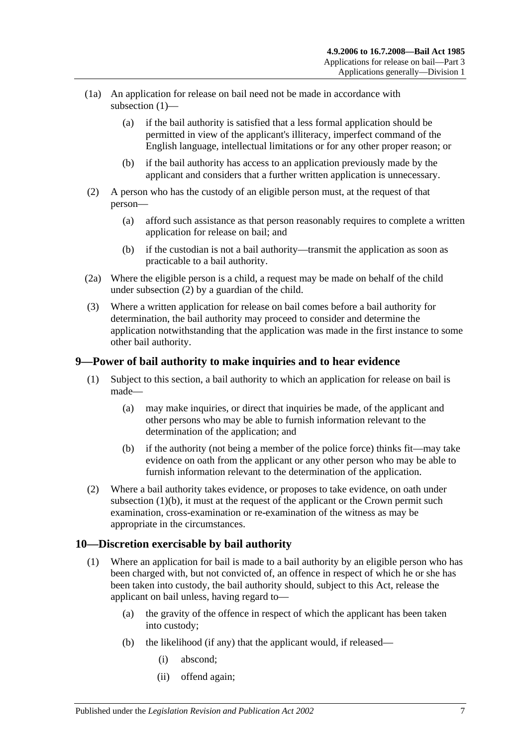- <span id="page-6-2"></span>(1a) An application for release on bail need not be made in accordance with [subsection](#page-5-4) (1)—
	- (a) if the bail authority is satisfied that a less formal application should be permitted in view of the applicant's illiteracy, imperfect command of the English language, intellectual limitations or for any other proper reason; or
	- (b) if the bail authority has access to an application previously made by the applicant and considers that a further written application is unnecessary.
- <span id="page-6-3"></span>(2) A person who has the custody of an eligible person must, at the request of that person—
	- (a) afford such assistance as that person reasonably requires to complete a written application for release on bail; and
	- (b) if the custodian is not a bail authority—transmit the application as soon as practicable to a bail authority.
- (2a) Where the eligible person is a child, a request may be made on behalf of the child under [subsection](#page-6-3) (2) by a guardian of the child.
- (3) Where a written application for release on bail comes before a bail authority for determination, the bail authority may proceed to consider and determine the application notwithstanding that the application was made in the first instance to some other bail authority.

## <span id="page-6-0"></span>**9—Power of bail authority to make inquiries and to hear evidence**

- (1) Subject to this section, a bail authority to which an application for release on bail is made—
	- (a) may make inquiries, or direct that inquiries be made, of the applicant and other persons who may be able to furnish information relevant to the determination of the application; and
	- (b) if the authority (not being a member of the police force) thinks fit—may take evidence on oath from the applicant or any other person who may be able to furnish information relevant to the determination of the application.
- <span id="page-6-4"></span>(2) Where a bail authority takes evidence, or proposes to take evidence, on oath under [subsection](#page-6-4)  $(1)(b)$ , it must at the request of the applicant or the Crown permit such examination, cross-examination or re-examination of the witness as may be appropriate in the circumstances.

## <span id="page-6-1"></span>**10—Discretion exercisable by bail authority**

- (1) Where an application for bail is made to a bail authority by an eligible person who has been charged with, but not convicted of, an offence in respect of which he or she has been taken into custody, the bail authority should, subject to this Act, release the applicant on bail unless, having regard to—
	- (a) the gravity of the offence in respect of which the applicant has been taken into custody;
	- (b) the likelihood (if any) that the applicant would, if released—
		- (i) abscond;
		- (ii) offend again;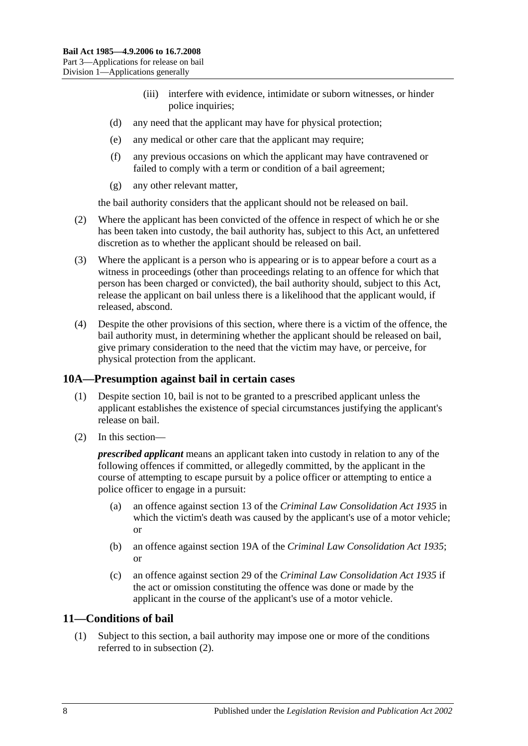- (iii) interfere with evidence, intimidate or suborn witnesses, or hinder police inquiries;
- (d) any need that the applicant may have for physical protection;
- (e) any medical or other care that the applicant may require;
- (f) any previous occasions on which the applicant may have contravened or failed to comply with a term or condition of a bail agreement;
- (g) any other relevant matter,

the bail authority considers that the applicant should not be released on bail.

- (2) Where the applicant has been convicted of the offence in respect of which he or she has been taken into custody, the bail authority has, subject to this Act, an unfettered discretion as to whether the applicant should be released on bail.
- (3) Where the applicant is a person who is appearing or is to appear before a court as a witness in proceedings (other than proceedings relating to an offence for which that person has been charged or convicted), the bail authority should, subject to this Act, release the applicant on bail unless there is a likelihood that the applicant would, if released, abscond.
- (4) Despite the other provisions of this section, where there is a victim of the offence, the bail authority must, in determining whether the applicant should be released on bail, give primary consideration to the need that the victim may have, or perceive, for physical protection from the applicant.

## <span id="page-7-0"></span>**10A—Presumption against bail in certain cases**

- (1) Despite [section](#page-6-1) 10, bail is not to be granted to a prescribed applicant unless the applicant establishes the existence of special circumstances justifying the applicant's release on bail.
- (2) In this section—

*prescribed applicant* means an applicant taken into custody in relation to any of the following offences if committed, or allegedly committed, by the applicant in the course of attempting to escape pursuit by a police officer or attempting to entice a police officer to engage in a pursuit:

- (a) an offence against section 13 of the *[Criminal Law Consolidation Act](http://www.legislation.sa.gov.au/index.aspx?action=legref&type=act&legtitle=Criminal%20Law%20Consolidation%20Act%201935) 1935* in which the victim's death was caused by the applicant's use of a motor vehicle; or
- (b) an offence against section 19A of the *[Criminal Law Consolidation Act](http://www.legislation.sa.gov.au/index.aspx?action=legref&type=act&legtitle=Criminal%20Law%20Consolidation%20Act%201935) 1935*; or
- (c) an offence against section 29 of the *[Criminal Law Consolidation Act](http://www.legislation.sa.gov.au/index.aspx?action=legref&type=act&legtitle=Criminal%20Law%20Consolidation%20Act%201935) 1935* if the act or omission constituting the offence was done or made by the applicant in the course of the applicant's use of a motor vehicle.

## <span id="page-7-1"></span>**11—Conditions of bail**

(1) Subject to this section, a bail authority may impose one or more of the conditions referred to in [subsection](#page-8-0) (2).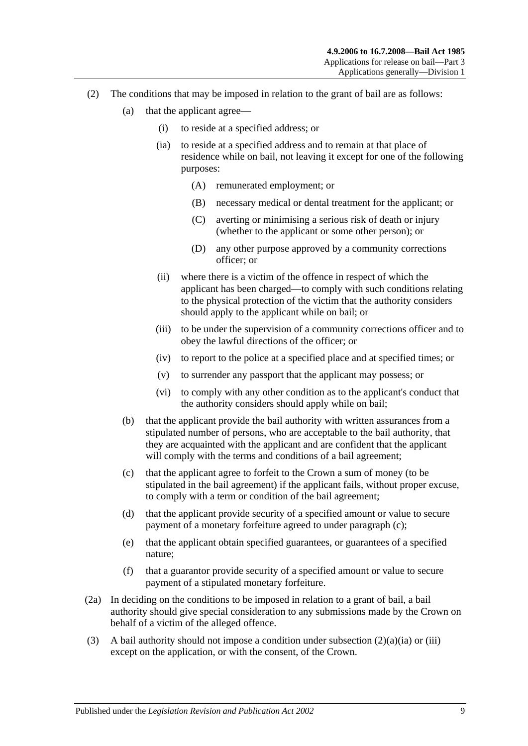- <span id="page-8-3"></span><span id="page-8-2"></span><span id="page-8-0"></span>(2) The conditions that may be imposed in relation to the grant of bail are as follows:
	- (a) that the applicant agree—
		- (i) to reside at a specified address; or
		- (ia) to reside at a specified address and to remain at that place of residence while on bail, not leaving it except for one of the following purposes:
			- (A) remunerated employment; or
			- (B) necessary medical or dental treatment for the applicant; or
			- (C) averting or minimising a serious risk of death or injury (whether to the applicant or some other person); or
			- (D) any other purpose approved by a community corrections officer; or
		- (ii) where there is a victim of the offence in respect of which the applicant has been charged—to comply with such conditions relating to the physical protection of the victim that the authority considers should apply to the applicant while on bail; or
		- (iii) to be under the supervision of a community corrections officer and to obey the lawful directions of the officer; or
		- (iv) to report to the police at a specified place and at specified times; or
		- (v) to surrender any passport that the applicant may possess; or
		- (vi) to comply with any other condition as to the applicant's conduct that the authority considers should apply while on bail;
	- (b) that the applicant provide the bail authority with written assurances from a stipulated number of persons, who are acceptable to the bail authority, that they are acquainted with the applicant and are confident that the applicant will comply with the terms and conditions of a bail agreement;
	- (c) that the applicant agree to forfeit to the Crown a sum of money (to be stipulated in the bail agreement) if the applicant fails, without proper excuse, to comply with a term or condition of the bail agreement;
	- (d) that the applicant provide security of a specified amount or value to secure payment of a monetary forfeiture agreed to under [paragraph](#page-8-1) (c);
	- (e) that the applicant obtain specified guarantees, or guarantees of a specified nature;
	- (f) that a guarantor provide security of a specified amount or value to secure payment of a stipulated monetary forfeiture.
- <span id="page-8-1"></span>(2a) In deciding on the conditions to be imposed in relation to a grant of bail, a bail authority should give special consideration to any submissions made by the Crown on behalf of a victim of the alleged offence.
- (3) A bail authority should not impose a condition under [subsection](#page-8-2)  $(2)(a)(ia)$  or [\(iii\)](#page-8-3) except on the application, or with the consent, of the Crown.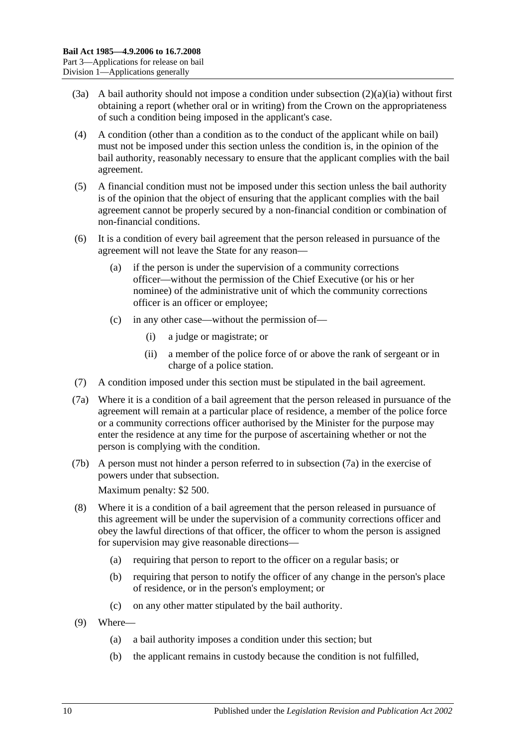- (3a) A bail authority should not impose a condition under [subsection](#page-8-2) (2)(a)(ia) without first obtaining a report (whether oral or in writing) from the Crown on the appropriateness of such a condition being imposed in the applicant's case.
- (4) A condition (other than a condition as to the conduct of the applicant while on bail) must not be imposed under this section unless the condition is, in the opinion of the bail authority, reasonably necessary to ensure that the applicant complies with the bail agreement.
- (5) A financial condition must not be imposed under this section unless the bail authority is of the opinion that the object of ensuring that the applicant complies with the bail agreement cannot be properly secured by a non-financial condition or combination of non-financial conditions.
- (6) It is a condition of every bail agreement that the person released in pursuance of the agreement will not leave the State for any reason—
	- (a) if the person is under the supervision of a community corrections officer—without the permission of the Chief Executive (or his or her nominee) of the administrative unit of which the community corrections officer is an officer or employee;
	- (c) in any other case—without the permission of—
		- (i) a judge or magistrate; or
		- (ii) a member of the police force of or above the rank of sergeant or in charge of a police station.
- (7) A condition imposed under this section must be stipulated in the bail agreement.
- <span id="page-9-0"></span>(7a) Where it is a condition of a bail agreement that the person released in pursuance of the agreement will remain at a particular place of residence, a member of the police force or a community corrections officer authorised by the Minister for the purpose may enter the residence at any time for the purpose of ascertaining whether or not the person is complying with the condition.
- (7b) A person must not hinder a person referred to in [subsection](#page-9-0) (7a) in the exercise of powers under that subsection. Maximum penalty: \$2 500.
- (8) Where it is a condition of a bail agreement that the person released in pursuance of this agreement will be under the supervision of a community corrections officer and obey the lawful directions of that officer, the officer to whom the person is assigned for supervision may give reasonable directions—
	- (a) requiring that person to report to the officer on a regular basis; or
	- (b) requiring that person to notify the officer of any change in the person's place of residence, or in the person's employment; or
	- (c) on any other matter stipulated by the bail authority.
- <span id="page-9-1"></span>(9) Where—
	- (a) a bail authority imposes a condition under this section; but
	- (b) the applicant remains in custody because the condition is not fulfilled,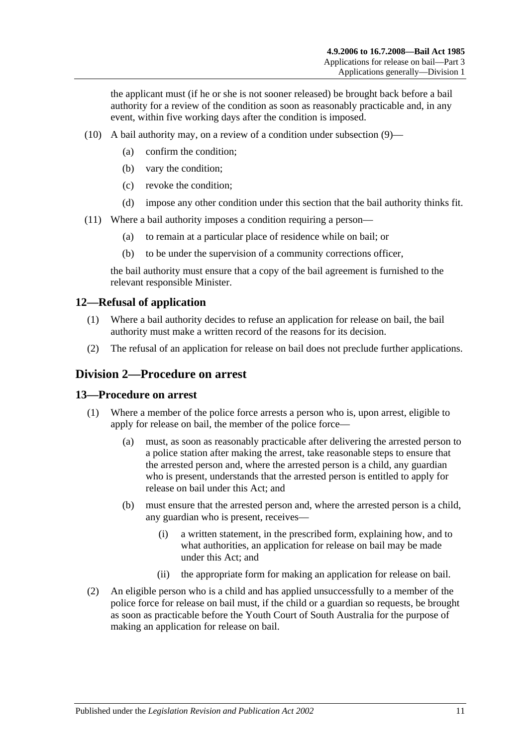the applicant must (if he or she is not sooner released) be brought back before a bail authority for a review of the condition as soon as reasonably practicable and, in any event, within five working days after the condition is imposed.

- (10) A bail authority may, on a review of a condition under [subsection](#page-9-1) (9)—
	- (a) confirm the condition;
	- (b) vary the condition;
	- (c) revoke the condition;
	- (d) impose any other condition under this section that the bail authority thinks fit.
- (11) Where a bail authority imposes a condition requiring a person—
	- (a) to remain at a particular place of residence while on bail; or
	- (b) to be under the supervision of a community corrections officer,

the bail authority must ensure that a copy of the bail agreement is furnished to the relevant responsible Minister.

## <span id="page-10-0"></span>**12—Refusal of application**

- (1) Where a bail authority decides to refuse an application for release on bail, the bail authority must make a written record of the reasons for its decision.
- (2) The refusal of an application for release on bail does not preclude further applications.

## <span id="page-10-1"></span>**Division 2—Procedure on arrest**

#### <span id="page-10-2"></span>**13—Procedure on arrest**

- (1) Where a member of the police force arrests a person who is, upon arrest, eligible to apply for release on bail, the member of the police force—
	- (a) must, as soon as reasonably practicable after delivering the arrested person to a police station after making the arrest, take reasonable steps to ensure that the arrested person and, where the arrested person is a child, any guardian who is present, understands that the arrested person is entitled to apply for release on bail under this Act; and
	- (b) must ensure that the arrested person and, where the arrested person is a child, any guardian who is present, receives—
		- (i) a written statement, in the prescribed form, explaining how, and to what authorities, an application for release on bail may be made under this Act; and
		- (ii) the appropriate form for making an application for release on bail.
- (2) An eligible person who is a child and has applied unsuccessfully to a member of the police force for release on bail must, if the child or a guardian so requests, be brought as soon as practicable before the Youth Court of South Australia for the purpose of making an application for release on bail.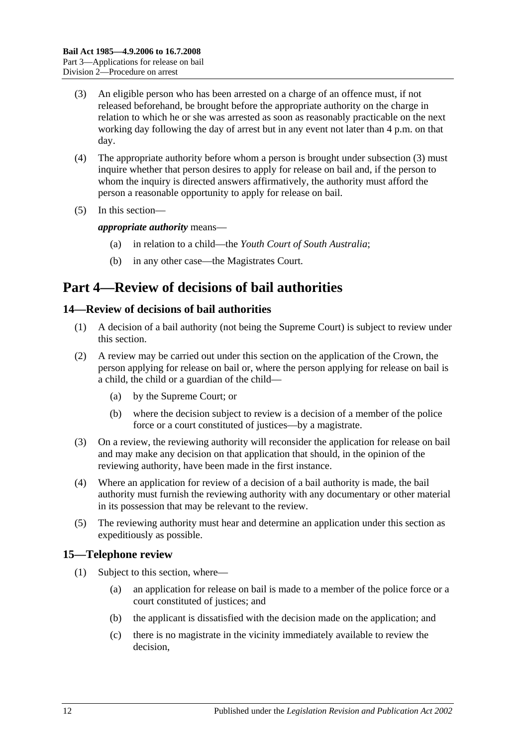- <span id="page-11-3"></span>(3) An eligible person who has been arrested on a charge of an offence must, if not released beforehand, be brought before the appropriate authority on the charge in relation to which he or she was arrested as soon as reasonably practicable on the next working day following the day of arrest but in any event not later than 4 p.m. on that day.
- (4) The appropriate authority before whom a person is brought under [subsection](#page-11-3) (3) must inquire whether that person desires to apply for release on bail and, if the person to whom the inquiry is directed answers affirmatively, the authority must afford the person a reasonable opportunity to apply for release on bail.
- (5) In this section—

*appropriate authority* means—

- (a) in relation to a child—the *Youth Court of South Australia*;
- (b) in any other case—the Magistrates Court.

## <span id="page-11-0"></span>**Part 4—Review of decisions of bail authorities**

## <span id="page-11-1"></span>**14—Review of decisions of bail authorities**

- (1) A decision of a bail authority (not being the Supreme Court) is subject to review under this section.
- (2) A review may be carried out under this section on the application of the Crown, the person applying for release on bail or, where the person applying for release on bail is a child, the child or a guardian of the child—
	- (a) by the Supreme Court; or
	- (b) where the decision subject to review is a decision of a member of the police force or a court constituted of justices—by a magistrate.
- (3) On a review, the reviewing authority will reconsider the application for release on bail and may make any decision on that application that should, in the opinion of the reviewing authority, have been made in the first instance.
- (4) Where an application for review of a decision of a bail authority is made, the bail authority must furnish the reviewing authority with any documentary or other material in its possession that may be relevant to the review.
- (5) The reviewing authority must hear and determine an application under this section as expeditiously as possible.

## <span id="page-11-4"></span><span id="page-11-2"></span>**15—Telephone review**

- (1) Subject to this section, where—
	- (a) an application for release on bail is made to a member of the police force or a court constituted of justices; and
	- (b) the applicant is dissatisfied with the decision made on the application; and
	- (c) there is no magistrate in the vicinity immediately available to review the decision,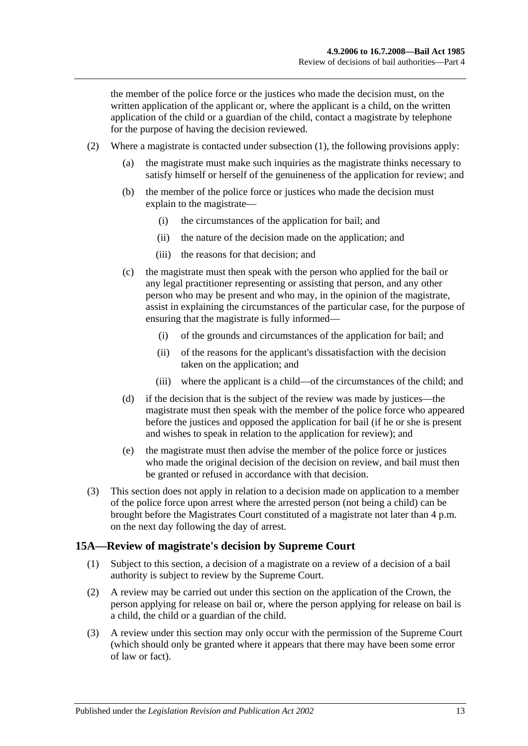the member of the police force or the justices who made the decision must, on the written application of the applicant or, where the applicant is a child, on the written application of the child or a guardian of the child, contact a magistrate by telephone for the purpose of having the decision reviewed.

- (2) Where a magistrate is contacted under [subsection](#page-11-4) (1), the following provisions apply:
	- (a) the magistrate must make such inquiries as the magistrate thinks necessary to satisfy himself or herself of the genuineness of the application for review; and
	- (b) the member of the police force or justices who made the decision must explain to the magistrate—
		- (i) the circumstances of the application for bail; and
		- (ii) the nature of the decision made on the application; and
		- (iii) the reasons for that decision; and
	- (c) the magistrate must then speak with the person who applied for the bail or any legal practitioner representing or assisting that person, and any other person who may be present and who may, in the opinion of the magistrate, assist in explaining the circumstances of the particular case, for the purpose of ensuring that the magistrate is fully informed—
		- (i) of the grounds and circumstances of the application for bail; and
		- (ii) of the reasons for the applicant's dissatisfaction with the decision taken on the application; and
		- (iii) where the applicant is a child—of the circumstances of the child; and
	- (d) if the decision that is the subject of the review was made by justices—the magistrate must then speak with the member of the police force who appeared before the justices and opposed the application for bail (if he or she is present and wishes to speak in relation to the application for review); and
	- (e) the magistrate must then advise the member of the police force or justices who made the original decision of the decision on review, and bail must then be granted or refused in accordance with that decision.
- (3) This section does not apply in relation to a decision made on application to a member of the police force upon arrest where the arrested person (not being a child) can be brought before the Magistrates Court constituted of a magistrate not later than 4 p.m. on the next day following the day of arrest.

#### <span id="page-12-0"></span>**15A—Review of magistrate's decision by Supreme Court**

- (1) Subject to this section, a decision of a magistrate on a review of a decision of a bail authority is subject to review by the Supreme Court.
- (2) A review may be carried out under this section on the application of the Crown, the person applying for release on bail or, where the person applying for release on bail is a child, the child or a guardian of the child.
- (3) A review under this section may only occur with the permission of the Supreme Court (which should only be granted where it appears that there may have been some error of law or fact).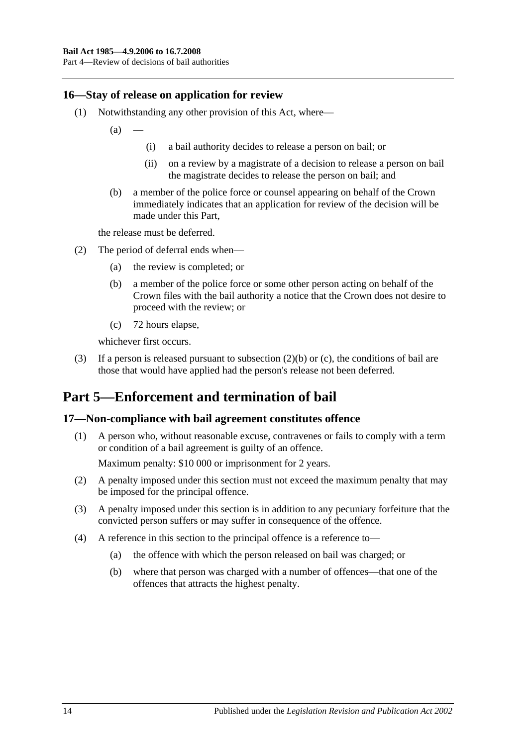### <span id="page-13-0"></span>**16—Stay of release on application for review**

- (1) Notwithstanding any other provision of this Act, where—
	- $(a)$
- (i) a bail authority decides to release a person on bail; or
- (ii) on a review by a magistrate of a decision to release a person on bail the magistrate decides to release the person on bail; and
- (b) a member of the police force or counsel appearing on behalf of the Crown immediately indicates that an application for review of the decision will be made under this Part,

the release must be deferred.

- <span id="page-13-3"></span>(2) The period of deferral ends when—
	- (a) the review is completed; or
	- (b) a member of the police force or some other person acting on behalf of the Crown files with the bail authority a notice that the Crown does not desire to proceed with the review; or
	- (c) 72 hours elapse,

whichever first occurs.

<span id="page-13-4"></span>(3) If a person is released pursuant to [subsection](#page-13-3) (2)(b) or [\(c\),](#page-13-4) the conditions of bail are those that would have applied had the person's release not been deferred.

## <span id="page-13-1"></span>**Part 5—Enforcement and termination of bail**

#### <span id="page-13-2"></span>**17—Non-compliance with bail agreement constitutes offence**

(1) A person who, without reasonable excuse, contravenes or fails to comply with a term or condition of a bail agreement is guilty of an offence.

Maximum penalty: \$10 000 or imprisonment for 2 years.

- (2) A penalty imposed under this section must not exceed the maximum penalty that may be imposed for the principal offence.
- (3) A penalty imposed under this section is in addition to any pecuniary forfeiture that the convicted person suffers or may suffer in consequence of the offence.
- (4) A reference in this section to the principal offence is a reference to—
	- (a) the offence with which the person released on bail was charged; or
	- (b) where that person was charged with a number of offences—that one of the offences that attracts the highest penalty.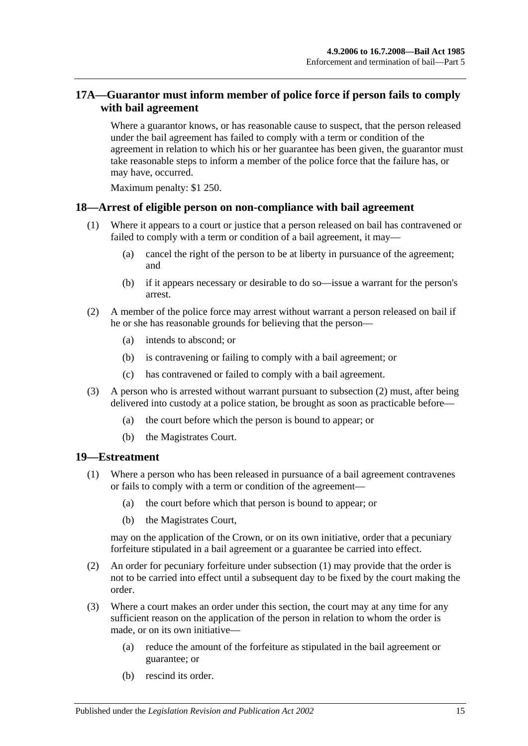## <span id="page-14-0"></span>**17A—Guarantor must inform member of police force if person fails to comply with bail agreement**

Where a guarantor knows, or has reasonable cause to suspect, that the person released under the bail agreement has failed to comply with a term or condition of the agreement in relation to which his or her guarantee has been given, the guarantor must take reasonable steps to inform a member of the police force that the failure has, or may have, occurred.

Maximum penalty: \$1 250.

#### <span id="page-14-1"></span>**18—Arrest of eligible person on non-compliance with bail agreement**

- (1) Where it appears to a court or justice that a person released on bail has contravened or failed to comply with a term or condition of a bail agreement, it may—
	- (a) cancel the right of the person to be at liberty in pursuance of the agreement; and
	- (b) if it appears necessary or desirable to do so—issue a warrant for the person's arrest.
- <span id="page-14-3"></span>(2) A member of the police force may arrest without warrant a person released on bail if he or she has reasonable grounds for believing that the person—
	- (a) intends to abscond; or
	- (b) is contravening or failing to comply with a bail agreement; or
	- (c) has contravened or failed to comply with a bail agreement.
- (3) A person who is arrested without warrant pursuant to [subsection](#page-14-3) (2) must, after being delivered into custody at a police station, be brought as soon as practicable before—
	- (a) the court before which the person is bound to appear; or
	- (b) the Magistrates Court.

#### <span id="page-14-4"></span><span id="page-14-2"></span>**19—Estreatment**

- (1) Where a person who has been released in pursuance of a bail agreement contravenes or fails to comply with a term or condition of the agreement—
	- (a) the court before which that person is bound to appear; or
	- (b) the Magistrates Court,

may on the application of the Crown, or on its own initiative, order that a pecuniary forfeiture stipulated in a bail agreement or a guarantee be carried into effect.

- (2) An order for pecuniary forfeiture under [subsection](#page-14-4) (1) may provide that the order is not to be carried into effect until a subsequent day to be fixed by the court making the order.
- (3) Where a court makes an order under this section, the court may at any time for any sufficient reason on the application of the person in relation to whom the order is made, or on its own initiative—
	- (a) reduce the amount of the forfeiture as stipulated in the bail agreement or guarantee; or
	- (b) rescind its order.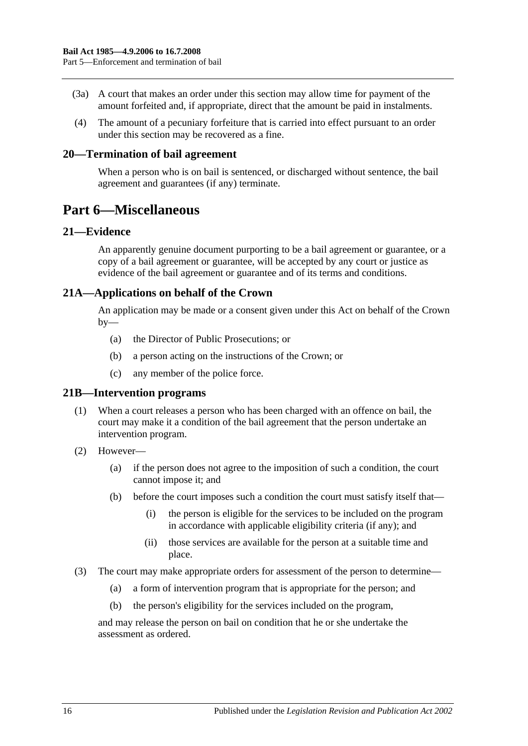- (3a) A court that makes an order under this section may allow time for payment of the amount forfeited and, if appropriate, direct that the amount be paid in instalments.
- (4) The amount of a pecuniary forfeiture that is carried into effect pursuant to an order under this section may be recovered as a fine.

#### <span id="page-15-0"></span>**20—Termination of bail agreement**

When a person who is on bail is sentenced, or discharged without sentence, the bail agreement and guarantees (if any) terminate.

## <span id="page-15-1"></span>**Part 6—Miscellaneous**

#### <span id="page-15-2"></span>**21—Evidence**

An apparently genuine document purporting to be a bail agreement or guarantee, or a copy of a bail agreement or guarantee, will be accepted by any court or justice as evidence of the bail agreement or guarantee and of its terms and conditions.

## <span id="page-15-3"></span>**21A—Applications on behalf of the Crown**

An application may be made or a consent given under this Act on behalf of the Crown  $by-$ 

- (a) the Director of Public Prosecutions; or
- (b) a person acting on the instructions of the Crown; or
- (c) any member of the police force.

#### <span id="page-15-4"></span>**21B—Intervention programs**

- (1) When a court releases a person who has been charged with an offence on bail, the court may make it a condition of the bail agreement that the person undertake an intervention program.
- (2) However—
	- (a) if the person does not agree to the imposition of such a condition, the court cannot impose it; and
	- (b) before the court imposes such a condition the court must satisfy itself that—
		- (i) the person is eligible for the services to be included on the program in accordance with applicable eligibility criteria (if any); and
		- (ii) those services are available for the person at a suitable time and place.
- (3) The court may make appropriate orders for assessment of the person to determine—
	- (a) a form of intervention program that is appropriate for the person; and
	- (b) the person's eligibility for the services included on the program,

and may release the person on bail on condition that he or she undertake the assessment as ordered.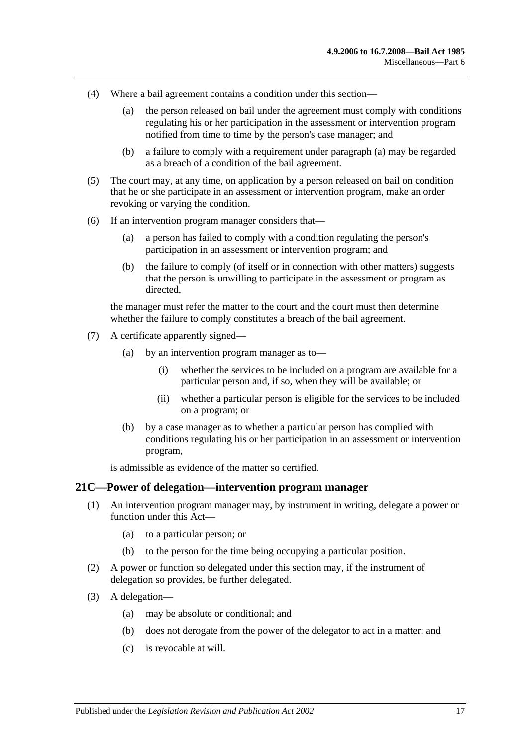- <span id="page-16-1"></span>(4) Where a bail agreement contains a condition under this section—
	- (a) the person released on bail under the agreement must comply with conditions regulating his or her participation in the assessment or intervention program notified from time to time by the person's case manager; and
	- (b) a failure to comply with a requirement under [paragraph](#page-16-1) (a) may be regarded as a breach of a condition of the bail agreement.
- (5) The court may, at any time, on application by a person released on bail on condition that he or she participate in an assessment or intervention program, make an order revoking or varying the condition.
- (6) If an intervention program manager considers that—
	- (a) a person has failed to comply with a condition regulating the person's participation in an assessment or intervention program; and
	- (b) the failure to comply (of itself or in connection with other matters) suggests that the person is unwilling to participate in the assessment or program as directed,

the manager must refer the matter to the court and the court must then determine whether the failure to comply constitutes a breach of the bail agreement.

- (7) A certificate apparently signed—
	- (a) by an intervention program manager as to—
		- (i) whether the services to be included on a program are available for a particular person and, if so, when they will be available; or
		- (ii) whether a particular person is eligible for the services to be included on a program; or
	- (b) by a case manager as to whether a particular person has complied with conditions regulating his or her participation in an assessment or intervention program,

is admissible as evidence of the matter so certified.

#### <span id="page-16-0"></span>**21C—Power of delegation—intervention program manager**

- (1) An intervention program manager may, by instrument in writing, delegate a power or function under this Act—
	- (a) to a particular person; or
	- (b) to the person for the time being occupying a particular position.
- (2) A power or function so delegated under this section may, if the instrument of delegation so provides, be further delegated.
- (3) A delegation—
	- (a) may be absolute or conditional; and
	- (b) does not derogate from the power of the delegator to act in a matter; and
	- (c) is revocable at will.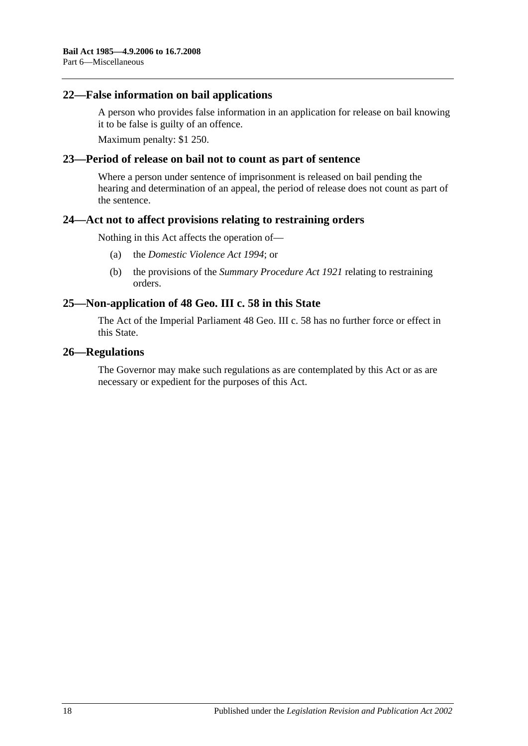#### <span id="page-17-0"></span>**22—False information on bail applications**

A person who provides false information in an application for release on bail knowing it to be false is guilty of an offence.

Maximum penalty: \$1 250.

#### <span id="page-17-1"></span>**23—Period of release on bail not to count as part of sentence**

Where a person under sentence of imprisonment is released on bail pending the hearing and determination of an appeal, the period of release does not count as part of the sentence.

#### <span id="page-17-2"></span>**24—Act not to affect provisions relating to restraining orders**

Nothing in this Act affects the operation of—

- (a) the *[Domestic Violence Act](http://www.legislation.sa.gov.au/index.aspx?action=legref&type=act&legtitle=Domestic%20Violence%20Act%201994) 1994*; or
- (b) the provisions of the *[Summary Procedure Act](http://www.legislation.sa.gov.au/index.aspx?action=legref&type=act&legtitle=Summary%20Procedure%20Act%201921) 1921* relating to restraining orders.

## <span id="page-17-3"></span>**25—Non-application of 48 Geo. III c. 58 in this State**

The Act of the Imperial Parliament 48 Geo. III c. 58 has no further force or effect in this State.

#### <span id="page-17-4"></span>**26—Regulations**

The Governor may make such regulations as are contemplated by this Act or as are necessary or expedient for the purposes of this Act.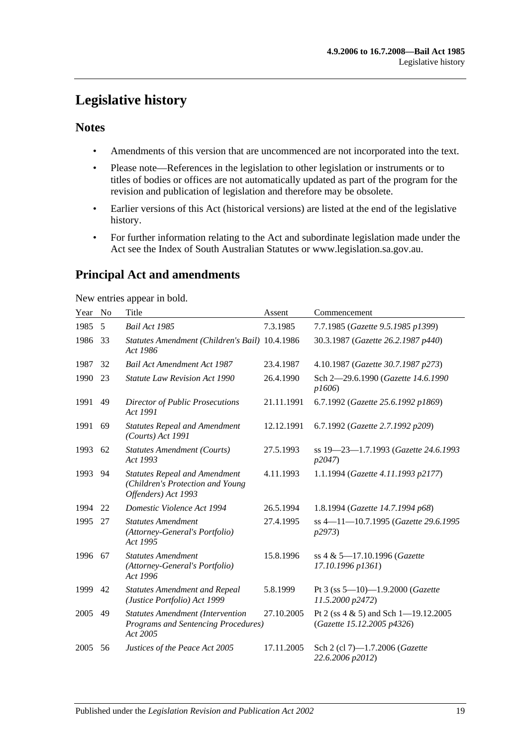## <span id="page-18-0"></span>**Legislative history**

## **Notes**

- Amendments of this version that are uncommenced are not incorporated into the text.
- Please note—References in the legislation to other legislation or instruments or to titles of bodies or offices are not automatically updated as part of the program for the revision and publication of legislation and therefore may be obsolete.
- Earlier versions of this Act (historical versions) are listed at the end of the legislative history.
- For further information relating to the Act and subordinate legislation made under the Act see the Index of South Australian Statutes or www.legislation.sa.gov.au.

## **Principal Act and amendments**

New entries appear in bold.

| Year | No | Title                                                                                           | Assent     | Commencement                                                           |
|------|----|-------------------------------------------------------------------------------------------------|------------|------------------------------------------------------------------------|
| 1985 | 5  | <b>Bail Act 1985</b>                                                                            | 7.3.1985   | 7.7.1985 (Gazette 9.5.1985 p1399)                                      |
| 1986 | 33 | Statutes Amendment (Children's Bail) 10.4.1986<br>Act 1986                                      |            | 30.3.1987 (Gazette 26.2.1987 p440)                                     |
| 1987 | 32 | <b>Bail Act Amendment Act 1987</b>                                                              | 23.4.1987  | 4.10.1987 (Gazette 30.7.1987 p273)                                     |
| 1990 | 23 | <b>Statute Law Revision Act 1990</b>                                                            | 26.4.1990  | Sch 2-29.6.1990 (Gazette 14.6.1990<br>p1606                            |
| 1991 | 49 | <b>Director of Public Prosecutions</b><br>Act 1991                                              | 21.11.1991 | 6.7.1992 (Gazette 25.6.1992 p1869)                                     |
| 1991 | 69 | <b>Statutes Repeal and Amendment</b><br>(Courts) Act 1991                                       | 12.12.1991 | 6.7.1992 (Gazette 2.7.1992 p209)                                       |
| 1993 | 62 | <b>Statutes Amendment (Courts)</b><br>Act 1993                                                  | 27.5.1993  | ss 19-23-1.7.1993 (Gazette 24.6.1993<br>p2047                          |
| 1993 | 94 | <b>Statutes Repeal and Amendment</b><br>(Children's Protection and Young<br>Offenders) Act 1993 | 4.11.1993  | 1.1.1994 (Gazette 4.11.1993 p2177)                                     |
| 1994 | 22 | Domestic Violence Act 1994                                                                      | 26.5.1994  | 1.8.1994 (Gazette 14.7.1994 p68)                                       |
| 1995 | 27 | <b>Statutes Amendment</b><br>(Attorney-General's Portfolio)<br>Act 1995                         | 27.4.1995  | ss 4-11-10.7.1995 (Gazette 29.6.1995<br>p2973                          |
| 1996 | 67 | <b>Statutes Amendment</b><br>(Attorney-General's Portfolio)<br>Act 1996                         | 15.8.1996  | ss 4 & 5-17.10.1996 (Gazette<br>17.10.1996 p1361)                      |
| 1999 | 42 | <b>Statutes Amendment and Repeal</b><br>(Justice Portfolio) Act 1999                            | 5.8.1999   | Pt 3 (ss $5-10$ )-1.9.2000 (Gazette<br>11.5.2000 p2472)                |
| 2005 | 49 | <b>Statutes Amendment (Intervention</b><br>Programs and Sentencing Procedures)<br>Act 2005      | 27.10.2005 | Pt 2 (ss $4 \& 5$ ) and Sch 1-19.12.2005<br>(Gazette 15.12.2005 p4326) |
| 2005 | 56 | Justices of the Peace Act 2005                                                                  | 17.11.2005 | Sch 2 (cl 7)-1.7.2006 (Gazette<br>22.6.2006 p2012)                     |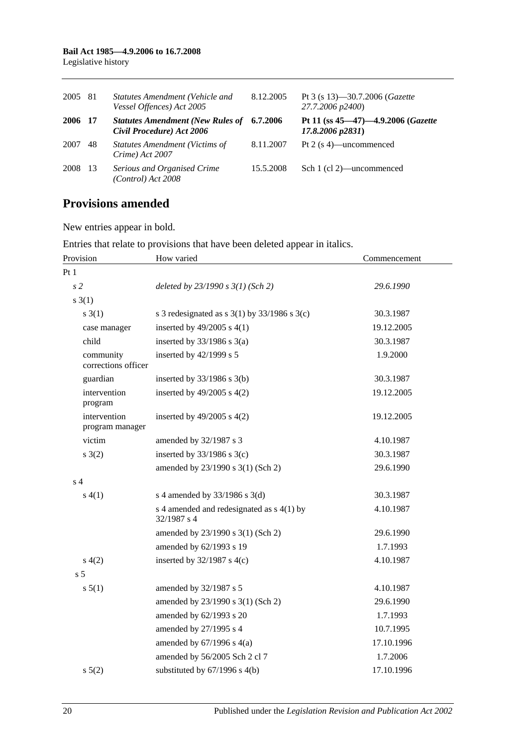| 2005 81 |     | Statutes Amendment (Vehicle and<br>Vessel Offences) Act 2005                   | 8.12.2005 | Pt 3 (s 13)–30.7.2006 ( <i>Gazette</i><br>27.7.2006 p2400)  |
|---------|-----|--------------------------------------------------------------------------------|-----------|-------------------------------------------------------------|
| 2006 17 |     | <b>Statutes Amendment (New Rules of 6.7.2006)</b><br>Civil Procedure) Act 2006 |           | Pt 11 (ss 45–47)–4.9.2006 (Gazette<br>$17.8.2006$ $p2831$ ) |
| 2007    | 48  | <b>Statutes Amendment (Victims of</b><br>Crime) Act 2007                       | 8.11.2007 | Pt 2 (s 4)—uncommenced                                      |
| 2008    | -13 | Serious and Organised Crime<br>(Control) Act 2008                              | 15.5.2008 | Sch 1 (cl 2)—uncommenced                                    |

## **Provisions amended**

New entries appear in bold.

Entries that relate to provisions that have been deleted appear in italics.

| Provision                        | How varied                                                 | Commencement |  |
|----------------------------------|------------------------------------------------------------|--------------|--|
| Pt1                              |                                                            |              |  |
| s <sub>2</sub>                   | deleted by $23/1990 s 3(1)$ (Sch 2)                        | 29.6.1990    |  |
| s(3(1))                          |                                                            |              |  |
| s(3(1))                          | s 3 redesignated as s $3(1)$ by $33/1986$ s $3(c)$         | 30.3.1987    |  |
| case manager                     | inserted by $49/2005$ s $4(1)$                             | 19.12.2005   |  |
| child                            | inserted by $33/1986$ s $3(a)$                             | 30.3.1987    |  |
| community<br>corrections officer | inserted by 42/1999 s 5                                    | 1.9.2000     |  |
| guardian                         | inserted by $33/1986$ s $3(b)$                             | 30.3.1987    |  |
| intervention<br>program          | inserted by $49/2005$ s $4(2)$                             | 19.12.2005   |  |
| intervention<br>program manager  | inserted by $49/2005$ s $4(2)$                             | 19.12.2005   |  |
| victim                           | amended by 32/1987 s 3                                     | 4.10.1987    |  |
| s(2)                             | inserted by $33/1986$ s $3(c)$                             | 30.3.1987    |  |
|                                  | amended by 23/1990 s 3(1) (Sch 2)                          | 29.6.1990    |  |
| s <sub>4</sub>                   |                                                            |              |  |
| s(4(1))                          | s 4 amended by 33/1986 s 3(d)                              | 30.3.1987    |  |
|                                  | s 4 amended and redesignated as $s$ 4(1) by<br>32/1987 s 4 | 4.10.1987    |  |
|                                  | amended by 23/1990 s 3(1) (Sch 2)                          | 29.6.1990    |  |
|                                  | amended by 62/1993 s 19                                    | 1.7.1993     |  |
| s(4(2)                           | inserted by $32/1987$ s 4(c)                               | 4.10.1987    |  |
| s <sub>5</sub>                   |                                                            |              |  |
| s 5(1)                           | amended by 32/1987 s 5                                     | 4.10.1987    |  |
|                                  | amended by 23/1990 s 3(1) (Sch 2)                          | 29.6.1990    |  |
|                                  | amended by 62/1993 s 20                                    | 1.7.1993     |  |
|                                  | amended by 27/1995 s 4                                     | 10.7.1995    |  |
|                                  | amended by $67/1996$ s $4(a)$                              | 17.10.1996   |  |
|                                  | amended by 56/2005 Sch 2 cl 7                              | 1.7.2006     |  |
| s 5(2)                           | substituted by $67/1996$ s $4(b)$                          | 17.10.1996   |  |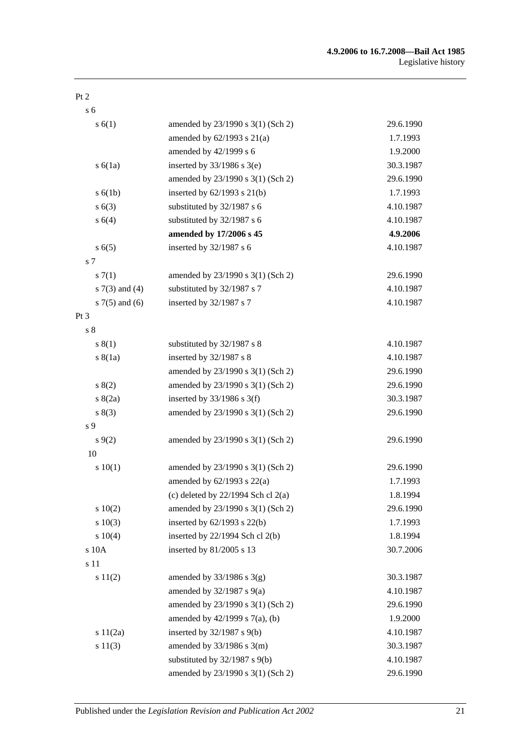#### Pt 2

s 6

| s(6(1))            | amended by 23/1990 s 3(1) (Sch 2)      | 29.6.1990 |
|--------------------|----------------------------------------|-----------|
|                    | amended by $62/1993$ s $21(a)$         | 1.7.1993  |
|                    | amended by 42/1999 s 6                 | 1.9.2000  |
| $s\ 6(1a)$         | inserted by $33/1986$ s $3(e)$         | 30.3.1987 |
|                    | amended by 23/1990 s 3(1) (Sch 2)      | 29.6.1990 |
| s(6(1b))           | inserted by $62/1993$ s $21(b)$        | 1.7.1993  |
| s(6(3))            | substituted by 32/1987 s 6             | 4.10.1987 |
| s 6(4)             | substituted by 32/1987 s 6             | 4.10.1987 |
|                    | amended by 17/2006 s 45                | 4.9.2006  |
| s(6(5)             | inserted by 32/1987 s 6                | 4.10.1987 |
| s 7                |                                        |           |
| s(7(1))            | amended by 23/1990 s 3(1) (Sch 2)      | 29.6.1990 |
| s $7(3)$ and $(4)$ | substituted by 32/1987 s 7             | 4.10.1987 |
| s $7(5)$ and $(6)$ | inserted by 32/1987 s 7                | 4.10.1987 |
| $Pt\,3$            |                                        |           |
| s <sub>8</sub>     |                                        |           |
| s(1)               | substituted by 32/1987 s 8             | 4.10.1987 |
| s(8(1a))           | inserted by 32/1987 s 8                | 4.10.1987 |
|                    | amended by 23/1990 s 3(1) (Sch 2)      | 29.6.1990 |
| s(2)               | amended by 23/1990 s 3(1) (Sch 2)      | 29.6.1990 |
| s(2a)              | inserted by $33/1986$ s 3(f)           | 30.3.1987 |
| s(3)               | amended by 23/1990 s 3(1) (Sch 2)      | 29.6.1990 |
| s 9                |                                        |           |
| $s \, 9(2)$        | amended by 23/1990 s 3(1) (Sch 2)      | 29.6.1990 |
| 10                 |                                        |           |
| 10(1)              | amended by 23/1990 s 3(1) (Sch 2)      | 29.6.1990 |
|                    | amended by $62/1993$ s $22(a)$         | 1.7.1993  |
|                    | (c) deleted by $22/1994$ Sch cl $2(a)$ | 1.8.1994  |
| 10(2)              | amended by 23/1990 s 3(1) (Sch 2)      | 29.6.1990 |
| 10(3)              | inserted by $62/1993$ s $22(b)$        | 1.7.1993  |
| s 10(4)            | inserted by 22/1994 Sch cl 2(b)        | 1.8.1994  |
| s 10A              | inserted by 81/2005 s 13               | 30.7.2006 |
| s 11               |                                        |           |
| s 11(2)            | amended by $33/1986$ s $3(g)$          | 30.3.1987 |
|                    | amended by $32/1987$ s $9(a)$          | 4.10.1987 |
|                    | amended by 23/1990 s 3(1) (Sch 2)      | 29.6.1990 |
|                    | amended by $42/1999$ s $7(a)$ , (b)    | 1.9.2000  |
| s $11(2a)$         | inserted by 32/1987 s 9(b)             | 4.10.1987 |
| s 11(3)            | amended by $33/1986$ s $3(m)$          | 30.3.1987 |
|                    | substituted by $32/1987$ s $9(b)$      | 4.10.1987 |
|                    | amended by 23/1990 s 3(1) (Sch 2)      | 29.6.1990 |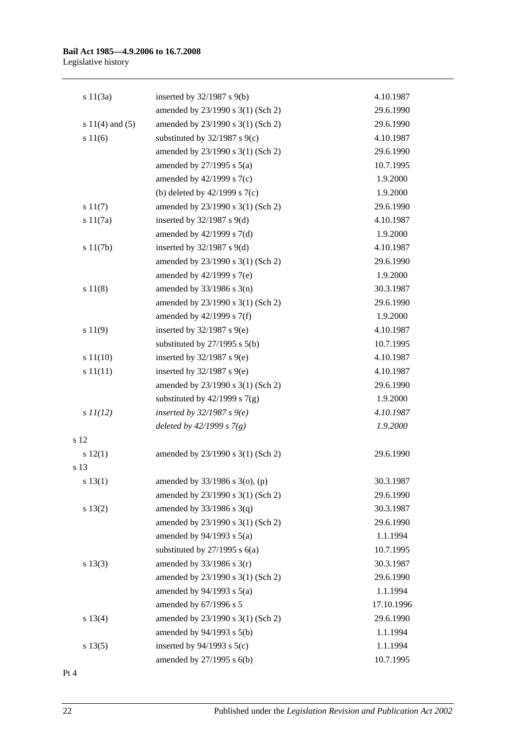#### **Bail Act 1985—4.9.2006 to 16.7.2008** Legislative history

| s 11(3a)            | inserted by $32/1987$ s $9(b)$      | 4.10.1987  |
|---------------------|-------------------------------------|------------|
|                     | amended by 23/1990 s 3(1) (Sch 2)   | 29.6.1990  |
| s $11(4)$ and $(5)$ | amended by 23/1990 s 3(1) (Sch 2)   | 29.6.1990  |
| s 11(6)             | substituted by $32/1987$ s $9(c)$   | 4.10.1987  |
|                     | amended by 23/1990 s 3(1) (Sch 2)   | 29.6.1990  |
|                     | amended by $27/1995$ s $5(a)$       | 10.7.1995  |
|                     | amended by 42/1999 s 7(c)           | 1.9.2000   |
|                     | (b) deleted by $42/1999$ s $7(c)$   | 1.9.2000   |
| s 11(7)             | amended by 23/1990 s 3(1) (Sch 2)   | 29.6.1990  |
| s 11(7a)            | inserted by $32/1987$ s $9(d)$      | 4.10.1987  |
|                     | amended by $42/1999$ s $7(d)$       | 1.9.2000   |
| s 11(7b)            | inserted by $32/1987$ s $9(d)$      | 4.10.1987  |
|                     | amended by 23/1990 s 3(1) (Sch 2)   | 29.6.1990  |
|                     | amended by $42/1999$ s $7(e)$       | 1.9.2000   |
| s 11(8)             | amended by $33/1986$ s $3(n)$       | 30.3.1987  |
|                     | amended by 23/1990 s 3(1) (Sch 2)   | 29.6.1990  |
|                     | amended by $42/1999$ s $7(f)$       | 1.9.2000   |
| s 11(9)             | inserted by $32/1987$ s $9(e)$      | 4.10.1987  |
|                     | substituted by $27/1995$ s $5(b)$   | 10.7.1995  |
| s 11(10)            | inserted by $32/1987$ s $9(e)$      | 4.10.1987  |
| s 11(11)            | inserted by $32/1987$ s $9(e)$      | 4.10.1987  |
|                     | amended by 23/1990 s 3(1) (Sch 2)   | 29.6.1990  |
|                     | substituted by $42/1999$ s $7(g)$   | 1.9.2000   |
| $s$ $11(12)$        | inserted by $32/1987 s$ 9(e)        | 4.10.1987  |
|                     | deleted by $42/1999 s 7(g)$         | 1.9.2000   |
| s 12                |                                     |            |
| s 12(1)             | amended by 23/1990 s 3(1) (Sch 2)   | 29.6.1990  |
| s 13                |                                     |            |
| s(13(1))            | amended by $33/1986$ s $3$ (o), (p) | 30.3.1987  |
|                     | amended by 23/1990 s 3(1) (Sch 2)   | 29.6.1990  |
| s 13(2)             | amended by $33/1986$ s $3(q)$       | 30.3.1987  |
|                     | amended by 23/1990 s 3(1) (Sch 2)   | 29.6.1990  |
|                     | amended by $94/1993$ s $5(a)$       | 1.1.1994   |
|                     | substituted by $27/1995$ s $6(a)$   | 10.7.1995  |
| s 13(3)             | amended by $33/1986$ s $3(r)$       | 30.3.1987  |
|                     | amended by 23/1990 s 3(1) (Sch 2)   | 29.6.1990  |
|                     | amended by $94/1993$ s $5(a)$       | 1.1.1994   |
|                     | amended by 67/1996 s 5              | 17.10.1996 |
| s 13(4)             | amended by 23/1990 s 3(1) (Sch 2)   | 29.6.1990  |
|                     | amended by 94/1993 s 5(b)           | 1.1.1994   |
| s 13(5)             | inserted by $94/1993$ s $5(c)$      | 1.1.1994   |
|                     | amended by 27/1995 s 6(b)           | 10.7.1995  |

Pt 4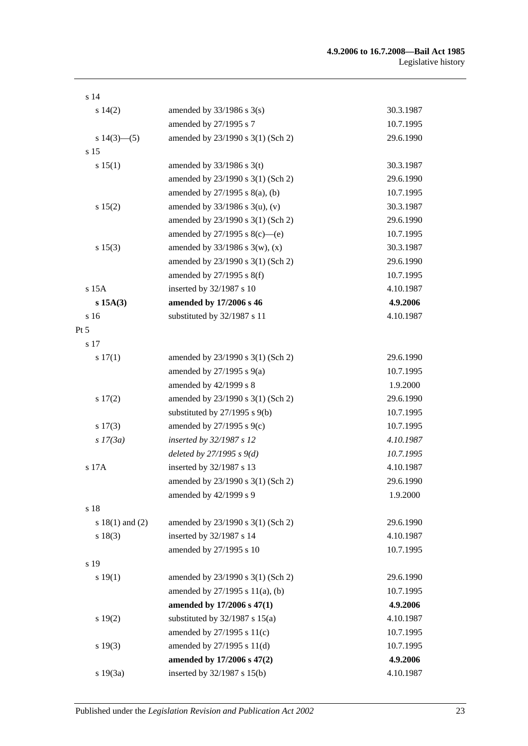| s <sub>14</sub>     |                                      |           |
|---------------------|--------------------------------------|-----------|
| s 14(2)             | amended by $33/1986$ s $3(s)$        | 30.3.1987 |
|                     | amended by 27/1995 s 7               | 10.7.1995 |
| s $14(3)$ —(5)      | amended by 23/1990 s 3(1) (Sch 2)    | 29.6.1990 |
| s 15                |                                      |           |
| s 15(1)             | amended by $33/1986$ s 3(t)          | 30.3.1987 |
|                     | amended by 23/1990 s 3(1) (Sch 2)    | 29.6.1990 |
|                     | amended by $27/1995$ s $8(a)$ , (b)  | 10.7.1995 |
| s 15(2)             | amended by $33/1986$ s $3(u)$ , (v)  | 30.3.1987 |
|                     | amended by 23/1990 s 3(1) (Sch 2)    | 29.6.1990 |
|                     | amended by $27/1995$ s $8(c)$ —(e)   | 10.7.1995 |
| s 15(3)             | amended by $33/1986$ s 3(w), (x)     | 30.3.1987 |
|                     | amended by 23/1990 s 3(1) (Sch 2)    | 29.6.1990 |
|                     | amended by $27/1995$ s $8(f)$        | 10.7.1995 |
| s 15A               | inserted by 32/1987 s 10             | 4.10.1987 |
| s 15A(3)            | amended by 17/2006 s 46              | 4.9.2006  |
| s 16                | substituted by 32/1987 s 11          | 4.10.1987 |
| $Pt\,5$             |                                      |           |
| s 17                |                                      |           |
| s 17(1)             | amended by 23/1990 s 3(1) (Sch 2)    | 29.6.1990 |
|                     | amended by $27/1995$ s $9(a)$        | 10.7.1995 |
|                     | amended by 42/1999 s 8               | 1.9.2000  |
| s 17(2)             | amended by 23/1990 s 3(1) (Sch 2)    | 29.6.1990 |
|                     | substituted by $27/1995$ s $9(b)$    | 10.7.1995 |
| $s\ 17(3)$          | amended by 27/1995 s 9(c)            | 10.7.1995 |
| $s$ 17(3a)          | inserted by 32/1987 s 12             | 4.10.1987 |
|                     | deleted by $27/1995 s 9(d)$          | 10.7.1995 |
| s 17A               | inserted by 32/1987 s 13             | 4.10.1987 |
|                     | amended by 23/1990 s 3(1) (Sch 2)    | 29.6.1990 |
|                     | amended by 42/1999 s 9               | 1.9.2000  |
| s 18                |                                      |           |
| s $18(1)$ and $(2)$ | amended by 23/1990 s 3(1) (Sch 2)    | 29.6.1990 |
| s 18(3)             | inserted by 32/1987 s 14             | 4.10.1987 |
|                     | amended by 27/1995 s 10              | 10.7.1995 |
| s 19                |                                      |           |
| s 19(1)             | amended by 23/1990 s 3(1) (Sch 2)    | 29.6.1990 |
|                     | amended by $27/1995$ s $11(a)$ , (b) | 10.7.1995 |
|                     | amended by 17/2006 s 47(1)           | 4.9.2006  |
| s 19(2)             | substituted by $32/1987$ s $15(a)$   | 4.10.1987 |
|                     | amended by 27/1995 s 11(c)           | 10.7.1995 |
| s 19(3)             | amended by 27/1995 s 11(d)           | 10.7.1995 |
|                     | amended by 17/2006 s 47(2)           | 4.9.2006  |
| s 19(3a)            | inserted by 32/1987 s 15(b)          | 4.10.1987 |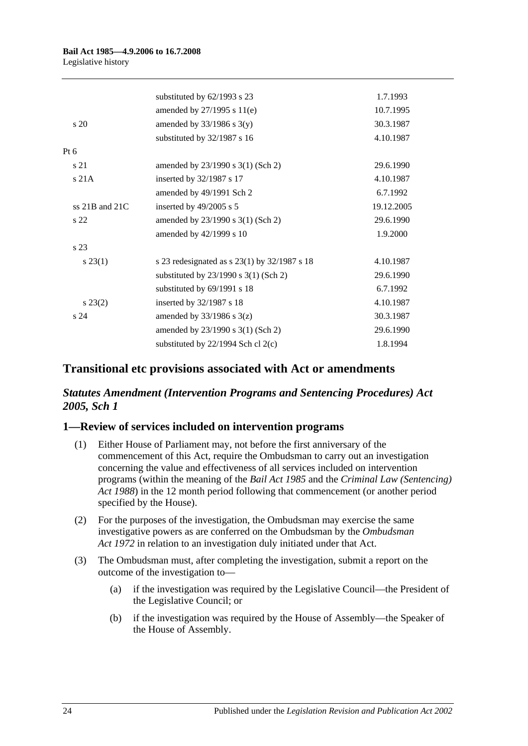|                    | substituted by 62/1993 s 23                  | 1.7.1993   |
|--------------------|----------------------------------------------|------------|
|                    | amended by 27/1995 s 11(e)                   | 10.7.1995  |
| $\frac{1}{20}$     | amended by $33/1986$ s $3(y)$                | 30.3.1987  |
|                    | substituted by 32/1987 s 16                  | 4.10.1987  |
| $Pt\ 6$            |                                              |            |
| s 21               | amended by 23/1990 s 3(1) (Sch 2)            | 29.6.1990  |
| s21A               | inserted by 32/1987 s 17                     | 4.10.1987  |
|                    | amended by 49/1991 Sch 2                     | 6.7.1992   |
| ss $21B$ and $21C$ | inserted by 49/2005 s 5                      | 19.12.2005 |
| s <sub>22</sub>    | amended by 23/1990 s 3(1) (Sch 2)            | 29.6.1990  |
|                    | amended by 42/1999 s 10                      | 1.9.2000   |
| s <sub>23</sub>    |                                              |            |
| $s\,23(1)$         | s 23 redesignated as s 23(1) by 32/1987 s 18 | 4.10.1987  |
|                    | substituted by $23/1990$ s $3(1)$ (Sch 2)    | 29.6.1990  |
|                    | substituted by 69/1991 s 18                  | 6.7.1992   |
| $s\,23(2)$         | inserted by 32/1987 s 18                     | 4.10.1987  |
| s <sub>24</sub>    | amended by $33/1986$ s $3(z)$                | 30.3.1987  |
|                    | amended by 23/1990 s 3(1) (Sch 2)            | 29.6.1990  |
|                    | substituted by $22/1994$ Sch cl $2(c)$       | 1.8.1994   |
|                    |                                              |            |

## **Transitional etc provisions associated with Act or amendments**

## *Statutes Amendment (Intervention Programs and Sentencing Procedures) Act 2005, Sch 1*

## **1—Review of services included on intervention programs**

- (1) Either House of Parliament may, not before the first anniversary of the commencement of this Act, require the Ombudsman to carry out an investigation concerning the value and effectiveness of all services included on intervention programs (within the meaning of the *[Bail Act](http://www.legislation.sa.gov.au/index.aspx?action=legref&type=act&legtitle=Bail%20Act%201985) 1985* and the *[Criminal Law \(Sentencing\)](http://www.legislation.sa.gov.au/index.aspx?action=legref&type=act&legtitle=Criminal%20Law%20(Sentencing)%20Act%201988)  Act [1988](http://www.legislation.sa.gov.au/index.aspx?action=legref&type=act&legtitle=Criminal%20Law%20(Sentencing)%20Act%201988)*) in the 12 month period following that commencement (or another period specified by the House).
- (2) For the purposes of the investigation, the Ombudsman may exercise the same investigative powers as are conferred on the Ombudsman by the *[Ombudsman](http://www.legislation.sa.gov.au/index.aspx?action=legref&type=act&legtitle=Ombudsman%20Act%201972)  Act [1972](http://www.legislation.sa.gov.au/index.aspx?action=legref&type=act&legtitle=Ombudsman%20Act%201972)* in relation to an investigation duly initiated under that Act.
- (3) The Ombudsman must, after completing the investigation, submit a report on the outcome of the investigation to—
	- (a) if the investigation was required by the Legislative Council—the President of the Legislative Council; or
	- (b) if the investigation was required by the House of Assembly—the Speaker of the House of Assembly.